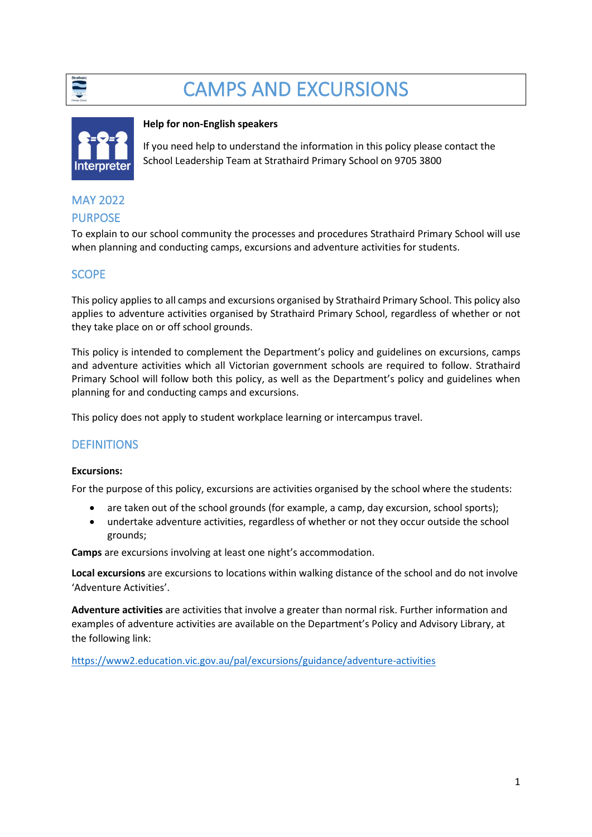

# CAMPS AND EXCURSIONS



## **Help for non-English speakers**

If you need help to understand the information in this policy please contact the School Leadership Team at Strathaird Primary School on 9705 3800

## MAY 2022 PURPOSE

To explain to our school community the processes and procedures Strathaird Primary School will use when planning and conducting camps, excursions and adventure activities for students.

# **SCOPE**

This policy applies to all camps and excursions organised by Strathaird Primary School. This policy also applies to adventure activities organised by Strathaird Primary School, regardless of whether or not they take place on or off school grounds.

This policy is intended to complement the Department's policy and guidelines on excursions, camps and adventure activities which all Victorian government schools are required to follow. Strathaird Primary School will follow both this policy, as well as the Department's policy and guidelines when planning for and conducting camps and excursions.

This policy does not apply to student workplace learning or intercampus travel.

# **DEFINITIONS**

#### **Excursions:**

For the purpose of this policy, excursions are activities organised by the school where the students:

- are taken out of the school grounds (for example, a camp, day excursion, school sports);
- undertake adventure activities, regardless of whether or not they occur outside the school grounds;

**Camps** are excursions involving at least one night's accommodation.

**Local excursions** are excursions to locations within walking distance of the school and do not involve 'Adventure Activities'.

**Adventure activities** are activities that involve a greater than normal risk. Further information and examples of adventure activities are available on the Department's Policy and Advisory Library, at the following link:

<https://www2.education.vic.gov.au/pal/excursions/guidance/adventure-activities>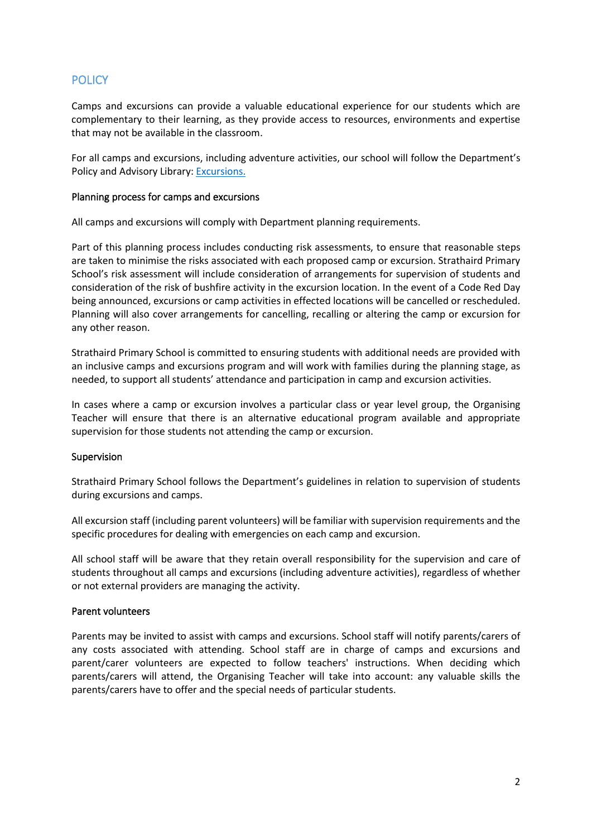# **POLICY**

Camps and excursions can provide a valuable educational experience for our students which are complementary to their learning, as they provide access to resources, environments and expertise that may not be available in the classroom.

For all camps and excursions, including adventure activities, our school will follow the Department's Policy and Advisory Library: [Excursions.](https://www2.education.vic.gov.au/pal/excursions/policy)

#### Planning process for camps and excursions

All camps and excursions will comply with Department planning requirements.

Part of this planning process includes conducting risk assessments, to ensure that reasonable steps are taken to minimise the risks associated with each proposed camp or excursion. Strathaird Primary School's risk assessment will include consideration of arrangements for supervision of students and consideration of the risk of bushfire activity in the excursion location. In the event of a Code Red Day being announced, excursions or camp activities in effected locations will be cancelled or rescheduled. Planning will also cover arrangements for cancelling, recalling or altering the camp or excursion for any other reason.

Strathaird Primary School is committed to ensuring students with additional needs are provided with an inclusive camps and excursions program and will work with families during the planning stage, as needed, to support all students' attendance and participation in camp and excursion activities.

In cases where a camp or excursion involves a particular class or year level group, the Organising Teacher will ensure that there is an alternative educational program available and appropriate supervision for those students not attending the camp or excursion.

## Supervision

Strathaird Primary School follows the Department's guidelines in relation to supervision of students during excursions and camps.

All excursion staff (including parent volunteers) will be familiar with supervision requirements and the specific procedures for dealing with emergencies on each camp and excursion.

All school staff will be aware that they retain overall responsibility for the supervision and care of students throughout all camps and excursions (including adventure activities), regardless of whether or not external providers are managing the activity.

## Parent volunteers

Parents may be invited to assist with camps and excursions. School staff will notify parents/carers of any costs associated with attending. School staff are in charge of camps and excursions and parent/carer volunteers are expected to follow teachers' instructions. When deciding which parents/carers will attend, the Organising Teacher will take into account: any valuable skills the parents/carers have to offer and the special needs of particular students.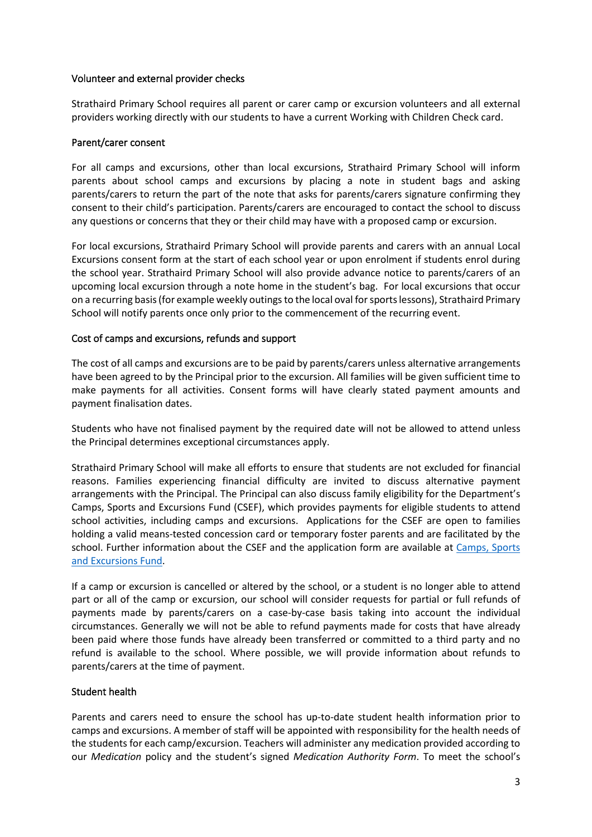#### Volunteer and external provider checks

Strathaird Primary School requires all parent or carer camp or excursion volunteers and all external providers working directly with our students to have a current Working with Children Check card.

#### Parent/carer consent

For all camps and excursions, other than local excursions, Strathaird Primary School will inform parents about school camps and excursions by placing a note in student bags and asking parents/carers to return the part of the note that asks for parents/carers signature confirming they consent to their child's participation. Parents/carers are encouraged to contact the school to discuss any questions or concerns that they or their child may have with a proposed camp or excursion.

For local excursions, Strathaird Primary School will provide parents and carers with an annual Local Excursions consent form at the start of each school year or upon enrolment if students enrol during the school year. Strathaird Primary School will also provide advance notice to parents/carers of an upcoming local excursion through a note home in the student's bag. For local excursions that occur on a recurring basis(for example weekly outings to the local oval for sports lessons), Strathaird Primary School will notify parents once only prior to the commencement of the recurring event.

#### Cost of camps and excursions, refunds and support

The cost of all camps and excursions are to be paid by parents/carers unless alternative arrangements have been agreed to by the Principal prior to the excursion. All families will be given sufficient time to make payments for all activities. Consent forms will have clearly stated payment amounts and payment finalisation dates.

Students who have not finalised payment by the required date will not be allowed to attend unless the Principal determines exceptional circumstances apply.

Strathaird Primary School will make all efforts to ensure that students are not excluded for financial reasons. Families experiencing financial difficulty are invited to discuss alternative payment arrangements with the Principal. The Principal can also discuss family eligibility for the Department's Camps, Sports and Excursions Fund (CSEF), which provides payments for eligible students to attend school activities, including camps and excursions. Applications for the CSEF are open to families holding a valid means-tested concession card or temporary foster parents and are facilitated by the school. Further information about the CSEF and the application form are available at [Camps, Sports](https://www2.education.vic.gov.au/pal/camps-sports-and-excursions-fund/policy)  [and Excursions Fund.](https://www2.education.vic.gov.au/pal/camps-sports-and-excursions-fund/policy)

If a camp or excursion is cancelled or altered by the school, or a student is no longer able to attend part or all of the camp or excursion, our school will consider requests for partial or full refunds of payments made by parents/carers on a case-by-case basis taking into account the individual circumstances. Generally we will not be able to refund payments made for costs that have already been paid where those funds have already been transferred or committed to a third party and no refund is available to the school. Where possible, we will provide information about refunds to parents/carers at the time of payment.

#### Student health

Parents and carers need to ensure the school has up-to-date student health information prior to camps and excursions. A member of staff will be appointed with responsibility for the health needs of the students for each camp/excursion. Teachers will administer any medication provided according to our *Medication* policy and the student's signed *Medication Authority Form*. To meet the school's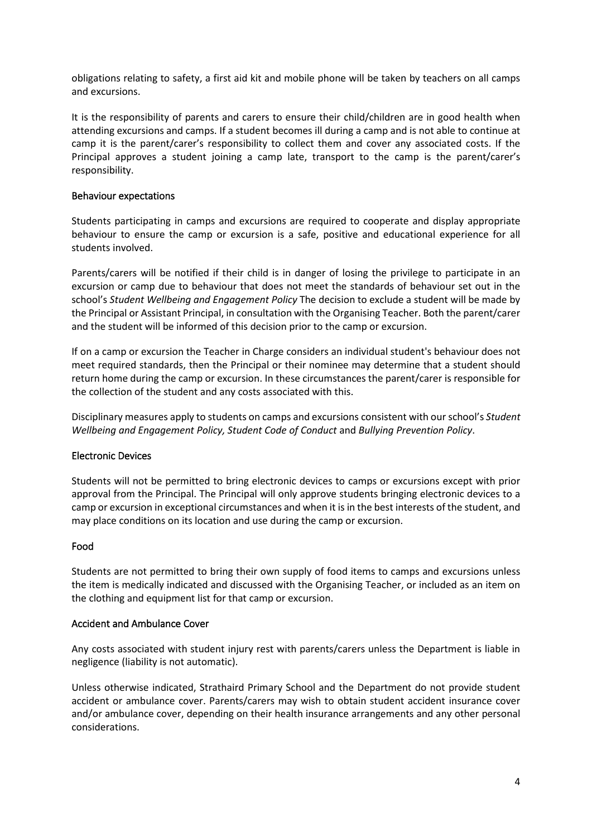obligations relating to safety, a first aid kit and mobile phone will be taken by teachers on all camps and excursions.

It is the responsibility of parents and carers to ensure their child/children are in good health when attending excursions and camps. If a student becomes ill during a camp and is not able to continue at camp it is the parent/carer's responsibility to collect them and cover any associated costs. If the Principal approves a student joining a camp late, transport to the camp is the parent/carer's responsibility.

#### Behaviour expectations

Students participating in camps and excursions are required to cooperate and display appropriate behaviour to ensure the camp or excursion is a safe, positive and educational experience for all students involved.

Parents/carers will be notified if their child is in danger of losing the privilege to participate in an excursion or camp due to behaviour that does not meet the standards of behaviour set out in the school's *Student Wellbeing and Engagement Policy* The decision to exclude a student will be made by the Principal or Assistant Principal, in consultation with the Organising Teacher. Both the parent/carer and the student will be informed of this decision prior to the camp or excursion.

If on a camp or excursion the Teacher in Charge considers an individual student's behaviour does not meet required standards, then the Principal or their nominee may determine that a student should return home during the camp or excursion. In these circumstances the parent/carer is responsible for the collection of the student and any costs associated with this.

Disciplinary measures apply to students on camps and excursions consistent with our school's *Student Wellbeing and Engagement Policy, Student Code of Conduct* and *Bullying Prevention Policy*.

#### Electronic Devices

Students will not be permitted to bring electronic devices to camps or excursions except with prior approval from the Principal. The Principal will only approve students bringing electronic devices to a camp or excursion in exceptional circumstances and when it is in the best interests of the student, and may place conditions on its location and use during the camp or excursion.

#### Food

Students are not permitted to bring their own supply of food items to camps and excursions unless the item is medically indicated and discussed with the Organising Teacher, or included as an item on the clothing and equipment list for that camp or excursion.

#### Accident and Ambulance Cover

Any costs associated with student injury rest with parents/carers unless the Department is liable in negligence (liability is not automatic).

Unless otherwise indicated, Strathaird Primary School and the Department do not provide student accident or ambulance cover. Parents/carers may wish to obtain student accident insurance cover and/or ambulance cover, depending on their health insurance arrangements and any other personal considerations.